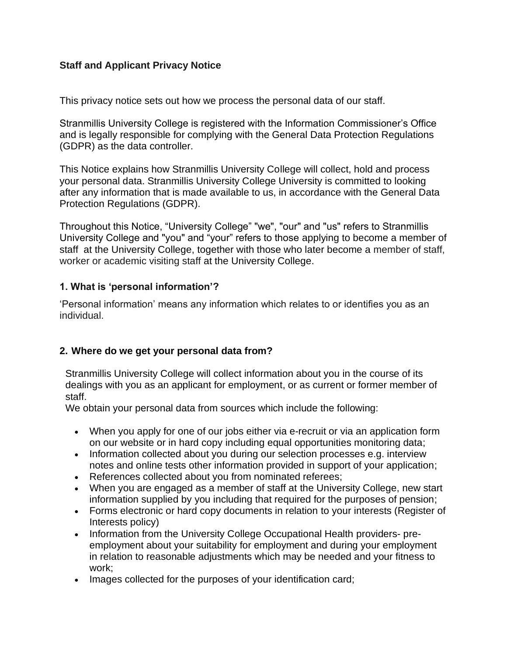# **Staff and Applicant Privacy Notice**

This privacy notice sets out how we process the personal data of our staff.

Stranmillis University College is registered with the Information Commissioner's Office and is legally responsible for complying with the General Data Protection Regulations (GDPR) as the data controller.

This Notice explains how Stranmillis University College will collect, hold and process your personal data. Stranmillis University College University is committed to looking after any information that is made available to us, in accordance with the General Data Protection Regulations (GDPR).

Throughout this Notice, "University College" "we", "our" and "us" refers to Stranmillis University College and "you" and "your" refers to those applying to become a member of staff at the University College, together with those who later become a member of staff, worker or academic visiting staff at the University College.

## **1. What is 'personal information'?**

'Personal information' means any information which relates to or identifies you as an individual.

# **2. Where do we get your personal data from?**

Stranmillis University College will collect information about you in the course of its dealings with you as an applicant for employment, or as current or former member of staff.

We obtain your personal data from sources which include the following:

- When you apply for one of our jobs either via e-recruit or via an application form on our website or in hard copy including equal opportunities monitoring data;
- Information collected about you during our selection processes e.g. interview notes and online tests other information provided in support of your application;
- References collected about you from nominated referees;
- When you are engaged as a member of staff at the University College, new start information supplied by you including that required for the purposes of pension;
- Forms electronic or hard copy documents in relation to your interests (Register of Interests policy)
- Information from the University College Occupational Health providers- preemployment about your suitability for employment and during your employment in relation to reasonable adjustments which may be needed and your fitness to work;
- Images collected for the purposes of your identification card;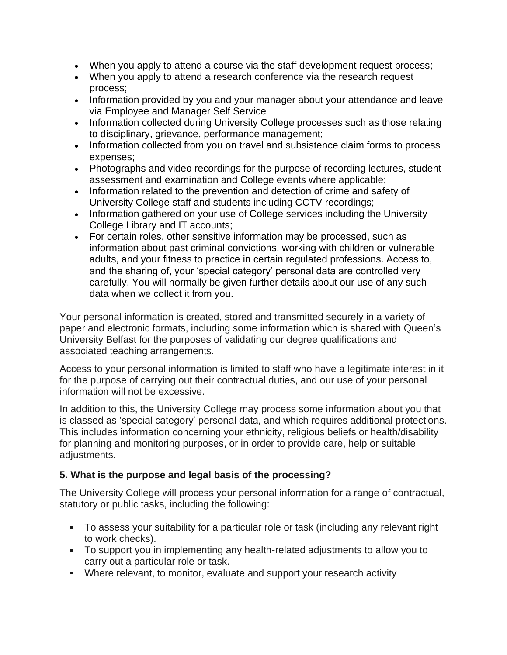- When you apply to attend a course via the staff development request process;
- When you apply to attend a research conference via the research request process;
- Information provided by you and your manager about your attendance and leave via Employee and Manager Self Service
- Information collected during University College processes such as those relating to disciplinary, grievance, performance management;
- Information collected from you on travel and subsistence claim forms to process expenses;
- Photographs and video recordings for the purpose of recording lectures, student assessment and examination and College events where applicable;
- Information related to the prevention and detection of crime and safety of University College staff and students including CCTV recordings;
- Information gathered on your use of College services including the University College Library and IT accounts;
- For certain roles, other sensitive information may be processed, such as information about past criminal convictions, working with children or vulnerable adults, and your fitness to practice in certain regulated professions. Access to, and the sharing of, your 'special category' personal data are controlled very carefully. You will normally be given further details about our use of any such data when we collect it from you.

Your personal information is created, stored and transmitted securely in a variety of paper and electronic formats, including some information which is shared with Queen's University Belfast for the purposes of validating our degree qualifications and associated teaching arrangements.

Access to your personal information is limited to staff who have a legitimate interest in it for the purpose of carrying out their contractual duties, and our use of your personal information will not be excessive.

In addition to this, the University College may process some information about you that is classed as 'special category' personal data, and which requires additional protections. This includes information concerning your ethnicity, religious beliefs or health/disability for planning and monitoring purposes, or in order to provide care, help or suitable adjustments.

# **5. What is the purpose and legal basis of the processing?**

The University College will process your personal information for a range of contractual, statutory or public tasks, including the following:

- To assess your suitability for a particular role or task (including any relevant right to work checks).
- To support you in implementing any health-related adjustments to allow you to carry out a particular role or task.
- Where relevant, to monitor, evaluate and support your research activity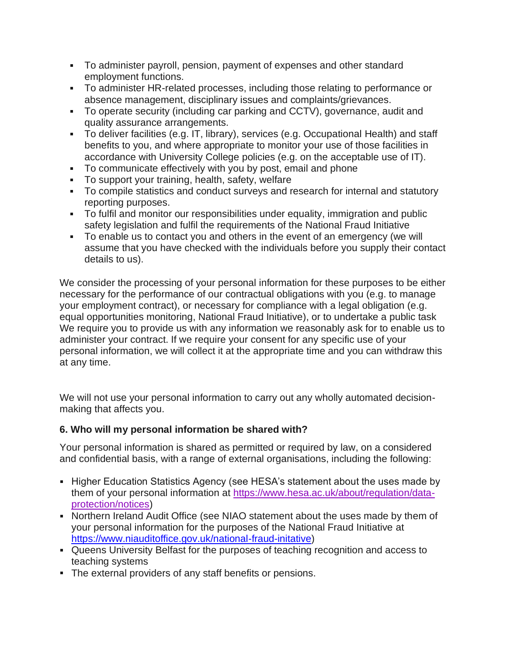- To administer payroll, pension, payment of expenses and other standard employment functions.
- To administer HR-related processes, including those relating to performance or absence management, disciplinary issues and complaints/grievances.
- To operate security (including car parking and CCTV), governance, audit and quality assurance arrangements.
- To deliver facilities (e.g. IT, library), services (e.g. Occupational Health) and staff benefits to you, and where appropriate to monitor your use of those facilities in accordance with University College policies (e.g. on the acceptable use of IT).
- To communicate effectively with you by post, email and phone
- To support your training, health, safety, welfare
- To compile statistics and conduct surveys and research for internal and statutory reporting purposes.
- To fulfil and monitor our responsibilities under equality, immigration and public safety legislation and fulfil the requirements of the National Fraud Initiative
- To enable us to contact you and others in the event of an emergency (we will assume that you have checked with the individuals before you supply their contact details to us).

We consider the processing of your personal information for these purposes to be either necessary for the performance of our contractual obligations with you (e.g. to manage your employment contract), or necessary for compliance with a legal obligation (e.g. equal opportunities monitoring, National Fraud Initiative), or to undertake a public task We require you to provide us with any information we reasonably ask for to enable us to administer your contract. If we require your consent for any specific use of your personal information, we will collect it at the appropriate time and you can withdraw this at any time.

We will not use your personal information to carry out any wholly automated decisionmaking that affects you.

# **6. Who will my personal information be shared with?**

Your personal information is shared as permitted or required by law, on a considered and confidential basis, with a range of external organisations, including the following:

- **Higher Education Statistics Agency (see HESA's statement about the uses made by** them of your personal information at [https://www.hesa.ac.uk/about/regulation/data](https://www.hesa.ac.uk/about/regulation/data-protection/notices)[protection/notices\)](https://www.hesa.ac.uk/about/regulation/data-protection/notices)
- Northern Ireland Audit Office (see NIAO statement about the uses made by them of your personal information for the purposes of the National Fraud Initiative at [https://www.niauditoffice.gov.uk/national-fraud-initative\)](https://www.niauditoffice.gov.uk/national-fraud-initative)
- Queens University Belfast for the purposes of teaching recognition and access to teaching systems
- The external providers of any staff benefits or pensions.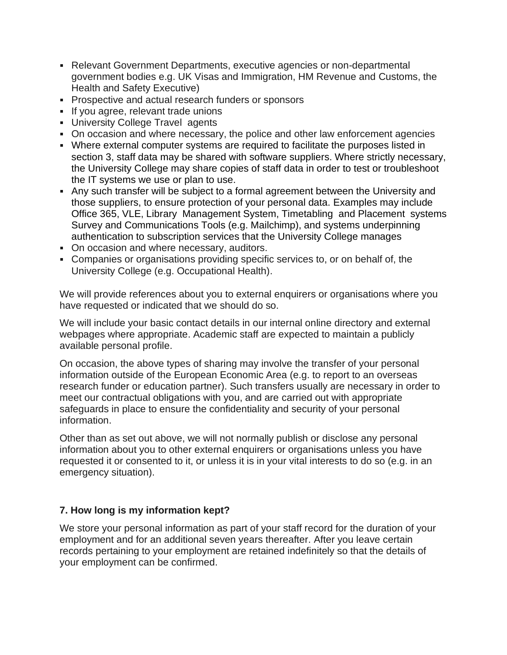- Relevant Government Departments, executive agencies or non-departmental government bodies e.g. UK Visas and Immigration, HM Revenue and Customs, the Health and Safety Executive)
- **Prospective and actual research funders or sponsors**
- If you agree, relevant trade unions
- University College Travel agents
- On occasion and where necessary, the police and other law enforcement agencies
- Where external computer systems are required to facilitate the purposes listed in section 3, staff data may be shared with software suppliers. Where strictly necessary, the University College may share copies of staff data in order to test or troubleshoot the IT systems we use or plan to use.
- Any such transfer will be subject to a formal agreement between the University and those suppliers, to ensure protection of your personal data. Examples may include Office 365, VLE, Library Management System, Timetabling and Placement systems Survey and Communications Tools (e.g. Mailchimp), and systems underpinning authentication to subscription services that the University College manages
- On occasion and where necessary, auditors.
- Companies or organisations providing specific services to, or on behalf of, the University College (e.g. Occupational Health).

We will provide references about you to external enquirers or organisations where you have requested or indicated that we should do so.

We will include your basic contact details in our internal online directory and external webpages where appropriate. Academic staff are expected to maintain a publicly available personal profile.

On occasion, the above types of sharing may involve the transfer of your personal information outside of the European Economic Area (e.g. to report to an overseas research funder or education partner). Such transfers usually are necessary in order to meet our contractual obligations with you, and are carried out with appropriate safeguards in place to ensure the confidentiality and security of your personal information.

Other than as set out above, we will not normally publish or disclose any personal information about you to other external enquirers or organisations unless you have requested it or consented to it, or unless it is in your vital interests to do so (e.g. in an emergency situation).

# **7. How long is my information kept?**

We store your personal information as part of your staff record for the duration of your employment and for an additional seven years thereafter. After you leave certain records pertaining to your employment are retained indefinitely so that the details of your employment can be confirmed.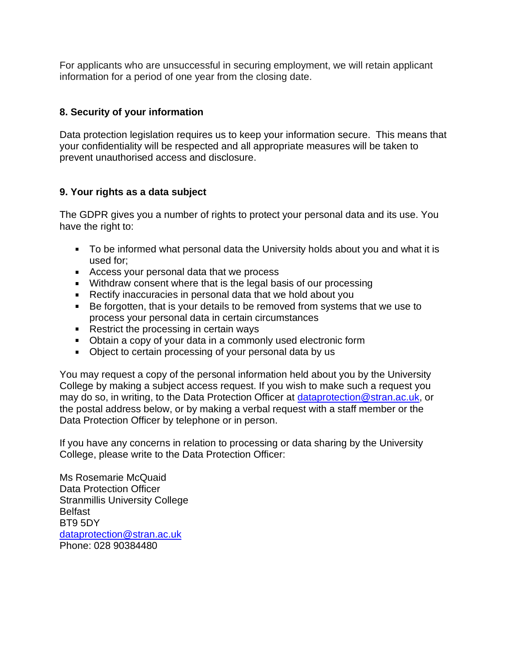For applicants who are unsuccessful in securing employment, we will retain applicant information for a period of one year from the closing date.

# **8. Security of your information**

Data protection legislation requires us to keep your information secure. This means that your confidentiality will be respected and all appropriate measures will be taken to prevent unauthorised access and disclosure.

# **9. Your rights as a data subject**

The GDPR gives you a number of rights to protect your personal data and its use. You have the right to:

- To be informed what personal data the University holds about you and what it is used for;
- Access your personal data that we process
- Withdraw consent where that is the legal basis of our processing
- Rectify inaccuracies in personal data that we hold about you
- Be forgotten, that is your details to be removed from systems that we use to process your personal data in certain circumstances
- Restrict the processing in certain ways
- Obtain a copy of your data in a commonly used electronic form
- Object to certain processing of your personal data by us

You may request a copy of the personal information held about you by the University College by making a subject access request. If you wish to make such a request you may do so, in writing, to the Data Protection Officer at [dataprotection@stran.ac.uk,](mailto:dataprotection@stran.ac.uk) or the postal address below, or by making a verbal request with a staff member or the Data Protection Officer by telephone or in person.

If you have any concerns in relation to processing or data sharing by the University College, please write to the Data Protection Officer:

Ms Rosemarie McQuaid Data Protection Officer Stranmillis University College Belfast BT9 5DY [dataprotection@stran.ac.uk](mailto:dataprotection@stran.ac.uk) Phone: 028 90384480